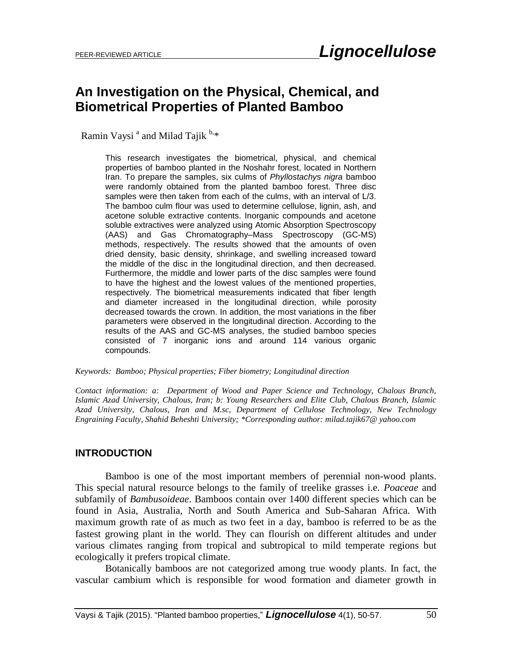# **An Investigation on the Physical, Chemical, and Biometrical Properties of Planted Bamboo**

Ramin Vaysi<sup>a</sup> and Milad Tajik<sup>b,\*</sup>

This research investigates the biometrical, physical, and chemical properties of bamboo planted in the Noshahr forest, located in Northern Iran. To prepare the samples, six culms of *Phyllostachys nigra* bamboo were randomly obtained from the planted bamboo forest. Three disc samples were then taken from each of the culms, with an interval of L/3. The bamboo culm flour was used to determine cellulose, lignin, ash, and acetone soluble extractive contents. Inorganic compounds and acetone soluble extractives were analyzed using Atomic Absorption Spectroscopy (AAS) and Gas Chromatography–Mass Spectroscopy (GC-MS) methods, respectively. The results showed that the amounts of oven dried density, basic density, shrinkage, and swelling increased toward the middle of the disc in the longitudinal direction, and then decreased. Furthermore, the middle and lower parts of the disc samples were found to have the highest and the lowest values of the mentioned properties, respectively. The biometrical measurements indicated that fiber length and diameter increased in the longitudinal direction, while porosity decreased towards the crown. In addition, the most variations in the fiber parameters were observed in the longitudinal direction. According to the results of the AAS and GC-MS analyses, the studied bamboo species consisted of 7 inorganic ions and around 114 various organic compounds.

#### *Keywords: Bamboo; Physical properties; Fiber biometry; Longitudinal direction*

*Contact information: a: Department of Wood and Paper Science and Technology, Chalous Branch, Islamic Azad University, Chalous, Iran; b: Young Researchers and Elite Club, Chalous Branch, Islamic Azad University, Chalous, Iran and M.sc, Department of Cellulose Technology, New Technology Engraining Faculty, Shahid Beheshti University; \*Corresponding author: milad.tajik67@ yahoo.com*

#### **INTRODUCTION**

Bamboo is one of the most important members of perennial non-wood plants. This special natural resource belongs to the family of treelike grasses i.e. *Poaceae* and subfamily of *Bambusoideae*. Bamboos contain over 1400 different species which can be found in Asia, Australia, North and South America and Sub-Saharan Africa. With maximum growth rate of as much as two feet in a day, bamboo is referred to be as the fastest growing plant in the world. They can flourish on different altitudes and under various climates ranging from tropical and subtropical to mild temperate regions but ecologically it prefers tropical climate.

Botanically bamboos are not categorized among true woody plants. In fact, the vascular cambium which is responsible for wood formation and diameter growth in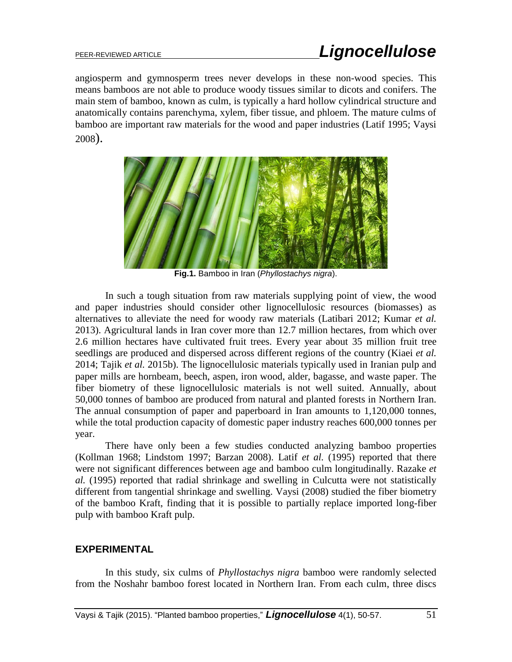angiosperm and gymnosperm trees never develops in these non-wood species. This means bamboos are not able to produce woody tissues similar to dicots and conifers. The main stem of bamboo, known as culm, is typically a hard hollow cylindrical structure and anatomically contains parenchyma, xylem, fiber tissue, and phloem. The mature culms of bamboo are important raw materials for the wood and paper industries (Latif 1995; Vaysi 2008).



**Fig.1.** Bamboo in Iran (*Phyllostachys nigra*).

In such a tough situation from raw materials supplying point of view, the wood and paper industries should consider other lignocellulosic resources (biomasses) as alternatives to alleviate the need for woody raw materials (Latibari 2012; Kumar *et al.* 2013). Agricultural lands in Iran cover more than 12.7 million hectares, from which over 2.6 million hectares have cultivated fruit trees. Every year about 35 million fruit tree seedlings are produced and dispersed across different regions of the country (Kiaei *et al.* 2014; Tajik *et al.* 2015b). The lignocellulosic materials typically used in Iranian pulp and paper mills are hornbeam, beech, aspen, iron wood, alder, bagasse, and waste paper. The fiber biometry of these lignocellulosic materials is not well suited. Annually, about 50,000 tonnes of bamboo are produced from natural and planted forests in Northern Iran. The annual consumption of paper and paperboard in Iran amounts to 1,120,000 tonnes, while the total production capacity of domestic paper industry reaches 600,000 tonnes per year.

There have only been a few studies conducted analyzing bamboo properties (Kollman 1968; Lindstom 1997; Barzan 2008). Latif *et al.* (1995) reported that there were not significant differences between age and bamboo culm longitudinally. Razake *et al.* (1995) reported that radial shrinkage and swelling in Culcutta were not statistically different from tangential shrinkage and swelling. Vaysi (2008) studied the fiber biometry of the bamboo Kraft, finding that it is possible to partially replace imported long-fiber pulp with bamboo Kraft pulp.

## **EXPERIMENTAL**

In this study, six culms of *Phyllostachys nigra* bamboo were randomly selected from the Noshahr bamboo forest located in Northern Iran. From each culm, three discs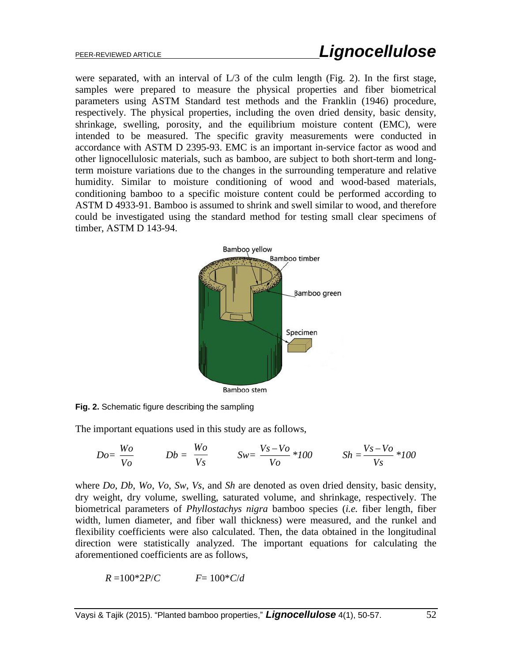were separated, with an interval of L/3 of the culm length (Fig. 2). In the first stage, samples were prepared to measure the physical properties and fiber biometrical parameters using ASTM Standard test methods and the Franklin (1946) procedure, respectively. The physical properties, including the oven dried density, basic density, shrinkage, swelling, porosity, and the equilibrium moisture content (EMC), were intended to be measured. The specific gravity measurements were conducted in accordance with ASTM D 2395-93. EMC is an important in-service factor as wood and other lignocellulosic materials, such as bamboo, are subject to both short-term and longterm moisture variations due to the changes in the surrounding temperature and relative humidity. Similar to moisture conditioning of wood and wood-based materials, conditioning bamboo to a specific moisture content could be performed according to ASTM D 4933-91. Bamboo is assumed to shrink and swell similar to wood, and therefore could be investigated using the standard method for testing small clear specimens of timber, ASTM D 143-94.



**Fig. 2.** Schematic figure describing the sampling

The important equations used in this study are as follows,

$$
Do = \frac{Wo}{Vo} \qquad \qquad Db = \frac{Wo}{Vs} \qquad \qquad Sw = \frac{Vs - Vo}{Vo} * 100 \qquad \qquad Sh = \frac{Vs - Vo}{Vs} * 100
$$

where *Do*, *Db*, *Wo*, *Vo*, *Sw*, *Vs*, and *Sh* are denoted as oven dried density, basic density, dry weight, dry volume, swelling, saturated volume, and shrinkage, respectively. The biometrical parameters of *Phyllostachys nigra* bamboo species (*i.e.* fiber length, fiber width, lumen diameter, and fiber wall thickness) were measured, and the runkel and flexibility coefficients were also calculated. Then, the data obtained in the longitudinal direction were statistically analyzed. The important equations for calculating the aforementioned coefficients are as follows,

$$
R = 100*2P/C \qquad \qquad F = 100*C/d
$$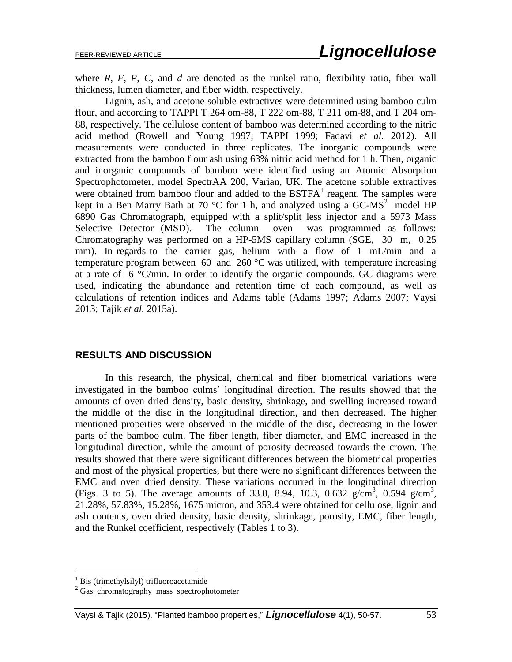where *R*, *F*, *P*, *C*, and *d* are denoted as the runkel ratio, flexibility ratio, fiber wall thickness, lumen diameter, and fiber width, respectively.

Lignin, ash, and acetone soluble extractives were determined using bamboo culm flour, and according to TAPPI T 264 om-88, T 222 om-88, T 211 om-88, and T 204 om-88, respectively. The cellulose content of bamboo was determined according to the nitric acid method (Rowell and Young 1997; TAPPI 1999; Fadavi *et al.* 2012). All measurements were conducted in three replicates. The inorganic compounds were extracted from the bamboo flour ash using 63% nitric acid method for 1 h. Then, organic and inorganic compounds of bamboo were identified using an Atomic Absorption Spectrophotometer, model SpectrAA 200, Varian, UK. The acetone soluble extractives were obtained from bamboo flour and added to the  $BSTFA<sup>1</sup>$  reagent. The samples were kept in a Ben Marry Bath at 70 °C for 1 h, and analyzed using a GC-MS<sup>2</sup> model HP 6890 Gas Chromatograph, equipped with a split/split less injector and a 5973 Mass Selective Detector (MSD). The column oven was programmed as follows: Chromatography was performed on a HP-5MS capillary column (SGE, 30 m, 0.25 mm). In regards to the carrier gas, helium with a flow of 1 mL/min and a temperature program between 60 and 260  $\degree$ C was utilized, with temperature increasing at a rate of  $\ 6 \,^{\circ}\text{C/min}$ . In order to identify the organic compounds, GC diagrams were used, indicating the abundance and retention time of each compound, as well as calculations of retention indices and Adams table (Adams 1997; Adams 2007; Vaysi 2013; Tajik *et al.* 2015a).

### **RESULTS AND DISCUSSION**

In this research, the physical, chemical and fiber biometrical variations were investigated in the bamboo culms' longitudinal direction. The results showed that the amounts of oven dried density, basic density, shrinkage, and swelling increased toward the middle of the disc in the longitudinal direction, and then decreased. The higher mentioned properties were observed in the middle of the disc, decreasing in the lower parts of the bamboo culm. The fiber length, fiber diameter, and EMC increased in the longitudinal direction, while the amount of porosity decreased towards the crown. The results showed that there were significant differences between the biometrical properties and most of the physical properties, but there were no significant differences between the EMC and oven dried density. These variations occurred in the longitudinal direction (Figs. 3 to 5). The average amounts of 33.8, 8.94, 10.3, 0.632  $g/cm^3$ , 0.594  $g/cm^3$ , 21.28%, 57.83%, 15.28%, 1675 micron, and 353.4 were obtained for cellulose, lignin and ash contents, oven dried density, basic density, shrinkage, porosity, EMC, fiber length, and the Runkel coefficient, respectively (Tables 1 to 3).

 $\overline{a}$ 

 $<sup>1</sup>$  Bis (trimethylsilyl) trifluoroacetamide</sup>

<sup>&</sup>lt;sup>2</sup> Gas chromatography mass spectrophotometer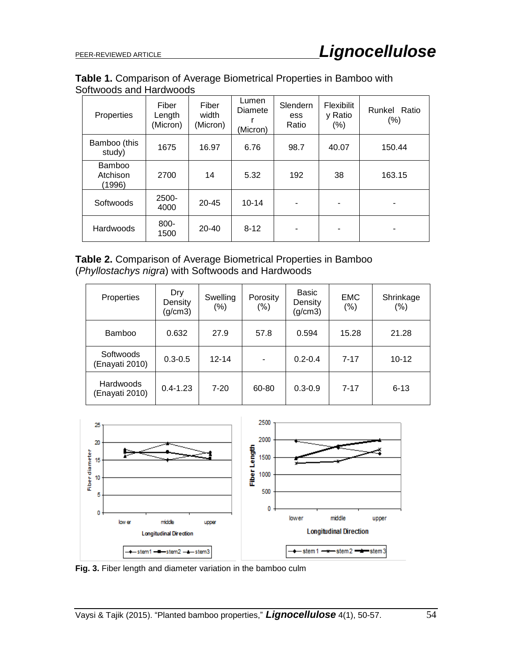## **Table 1.** Comparison of Average Biometrical Properties in Bamboo with Softwoods and Hardwoods

| Properties                          | Fiber<br>Length<br>(Micron) | Fiber<br>width<br>(Micron) | Lumen<br>Diamete<br>(Micron) | Slendern<br>ess<br>Ratio | <b>Flexibilit</b><br>y Ratio<br>$(\% )$ | Runkel Ratio<br>$(\%)$ |
|-------------------------------------|-----------------------------|----------------------------|------------------------------|--------------------------|-----------------------------------------|------------------------|
| Bamboo (this<br>study)              | 1675                        | 16.97                      | 6.76                         | 98.7                     | 40.07                                   | 150.44                 |
| <b>Bamboo</b><br>Atchison<br>(1996) | 2700                        | 14                         | 5.32                         | 192                      | 38                                      | 163.15                 |
| Softwoods                           | 2500-<br>4000               | $20 - 45$                  | $10 - 14$                    | -                        |                                         | -                      |
| Hardwoods                           | 800-<br>1500                | $20 - 40$                  | $8 - 12$                     |                          | ۰                                       | -                      |

## **Table 2.** Comparison of Average Biometrical Properties in Bamboo (*Phyllostachys nigra*) with Softwoods and Hardwoods

| Properties                  | Dry<br>Density<br>(g/cm3) | Swelling<br>$(\% )$ | Porosity<br>$(\% )$      | Basic<br>Density<br>(g/cm3) | <b>EMC</b><br>$(\% )$ | Shrinkage<br>(% ) |
|-----------------------------|---------------------------|---------------------|--------------------------|-----------------------------|-----------------------|-------------------|
| <b>Bamboo</b>               | 0.632                     | 27.9                | 57.8                     | 0.594                       | 15.28                 | 21.28             |
| Softwoods<br>(Enayati 2010) | $0.3 - 0.5$               | $12 - 14$           | $\overline{\phantom{0}}$ | $0.2 - 0.4$                 | $7 - 17$              | $10 - 12$         |
| Hardwoods<br>(Enayati 2010) | $0.4 - 1.23$              | $7 - 20$            | 60-80                    | $0.3 - 0.9$                 | $7 - 17$              | $6 - 13$          |



**Fig. 3.** Fiber length and diameter variation in the bamboo culm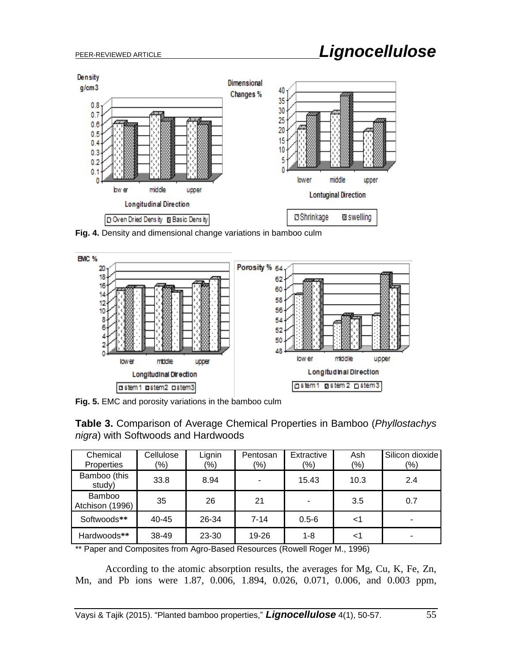

**Fig. 4.** Density and dimensional change variations in bamboo culm



**Fig. 5.** EMC and porosity variations in the bamboo culm

| <b>Table 3.</b> Comparison of Average Chemical Properties in Bamboo ( <i>Phyllostachys</i> |  |  |  |
|--------------------------------------------------------------------------------------------|--|--|--|
| <i>nigra</i> ) with Softwoods and Hardwoods                                                |  |  |  |

| Chemical<br>Properties           | Cellulose<br>(%) | Lignin<br>$\frac{9}{6}$ | Pentosan<br>$(\%)$ | Extractive<br>$(\%)$ | Ash<br>(%) | Silicon dioxide<br>(%) |
|----------------------------------|------------------|-------------------------|--------------------|----------------------|------------|------------------------|
| Bamboo (this<br>study)           | 33.8             | 8.94                    |                    | 15.43                | 10.3       | 2.4                    |
| <b>Bamboo</b><br>Atchison (1996) | 35               | 26                      | 21                 |                      | 3.5        | 0.7                    |
| Softwoods**                      | $40 - 45$        | 26-34                   | 7-14               | $0.5 - 6$            | <1         |                        |
| Hardwoods**                      | 38-49            | 23-30                   | $19 - 26$          | $1 - 8$              | <1         |                        |

\*\* Paper and Composites from Agro-Based Resources (Rowell Roger M., 1996)

According to the atomic absorption results, the averages for Mg, Cu, K, Fe, Zn, Mn, and Pb ions were 1.87, 0.006, 1.894, 0.026, 0.071, 0.006, and 0.003 ppm,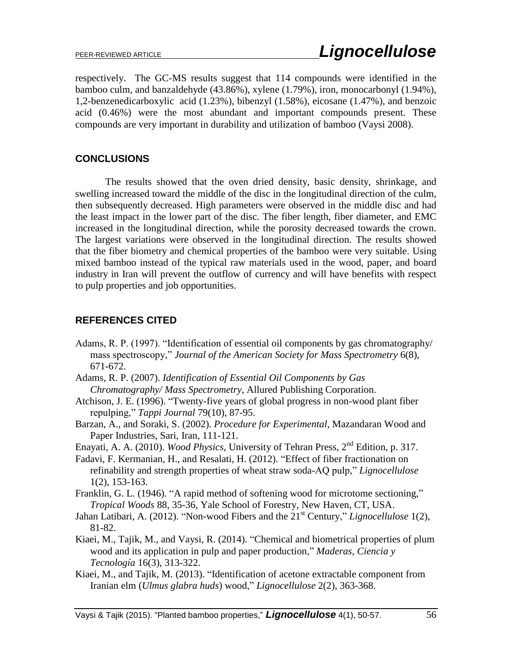respectively. The GC-MS results suggest that 114 compounds were identified in the bamboo culm, and banzaldehyde (43.86%), xylene (1.79%), iron, monocarbonyl (1.94%), 1,2-benzenedicarboxylic acid (1.23%), bibenzyl (1.58%), eicosane (1.47%), and benzoic acid (0.46%) were the most abundant and important compounds present. These compounds are very important in durability and utilization of bamboo (Vaysi 2008).

## **CONCLUSIONS**

The results showed that the oven dried density, basic density, shrinkage, and swelling increased toward the middle of the disc in the longitudinal direction of the culm, then subsequently decreased. High parameters were observed in the middle disc and had the least impact in the lower part of the disc. The fiber length, fiber diameter, and EMC increased in the longitudinal direction, while the porosity decreased towards the crown. The largest variations were observed in the longitudinal direction. The results showed that the fiber biometry and chemical properties of the bamboo were very suitable. Using mixed bamboo instead of the typical raw materials used in the wood, paper, and board industry in Iran will prevent the outflow of currency and will have benefits with respect to pulp properties and job opportunities.

# **REFERENCES CITED**

- Adams, R. P. (1997). "Identification of essential oil components by gas chromatography/ mass spectroscopy," *Journal of the American Society for Mass Spectrometry* 6(8), 671-672.
- Adams, R. P. (2007). *Identification of Essential Oil Components by Gas Chromatography/ Mass Spectrometry*, Allured Publishing Corporation.
- Atchison, J. E. (1996). "Twenty-five years of global progress in non-wood plant fiber repulping," *Tappi Journal* 79(10), 87-95.
- Barzan, A., and Soraki, S. (2002). *Procedure for Experimental*, Mazandaran Wood and Paper Industries, Sari, Iran, 111-121.
- Enayati, A. A. (2010). *Wood Physics*, University of Tehran Press, 2nd Edition, p. 317.
- Fadavi, F. Kermanian, H., and Resalati, H. (2012). "Effect of fiber fractionation on refinability and strength properties of wheat straw soda-AQ pulp," *Lignocellulose*  1(2), 153-163.
- Franklin, G. L. (1946). "A rapid method of softening wood for microtome sectioning," *Tropical Woods* 88, 35-36, Yale School of Forestry, New Haven, CT, USA.
- Jahan Latibari, A. (2012). "Non-wood Fibers and the 21<sup>st</sup> Century," *Lignocellulose* 1(2), 81-82.
- Kiaei, M., Tajik, M., and Vaysi, R. (2014). "Chemical and biometrical properties of plum wood and its application in pulp and paper production," *Maderas, Ciencia y Tecnología* 16(3), 313-322.
- Kiaei, M., and Tajik, M. (2013). "Identification of acetone extractable component from Iranian elm (*Ulmus glabra huds*) wood," *Lignocellulose* 2(2), 363-368.